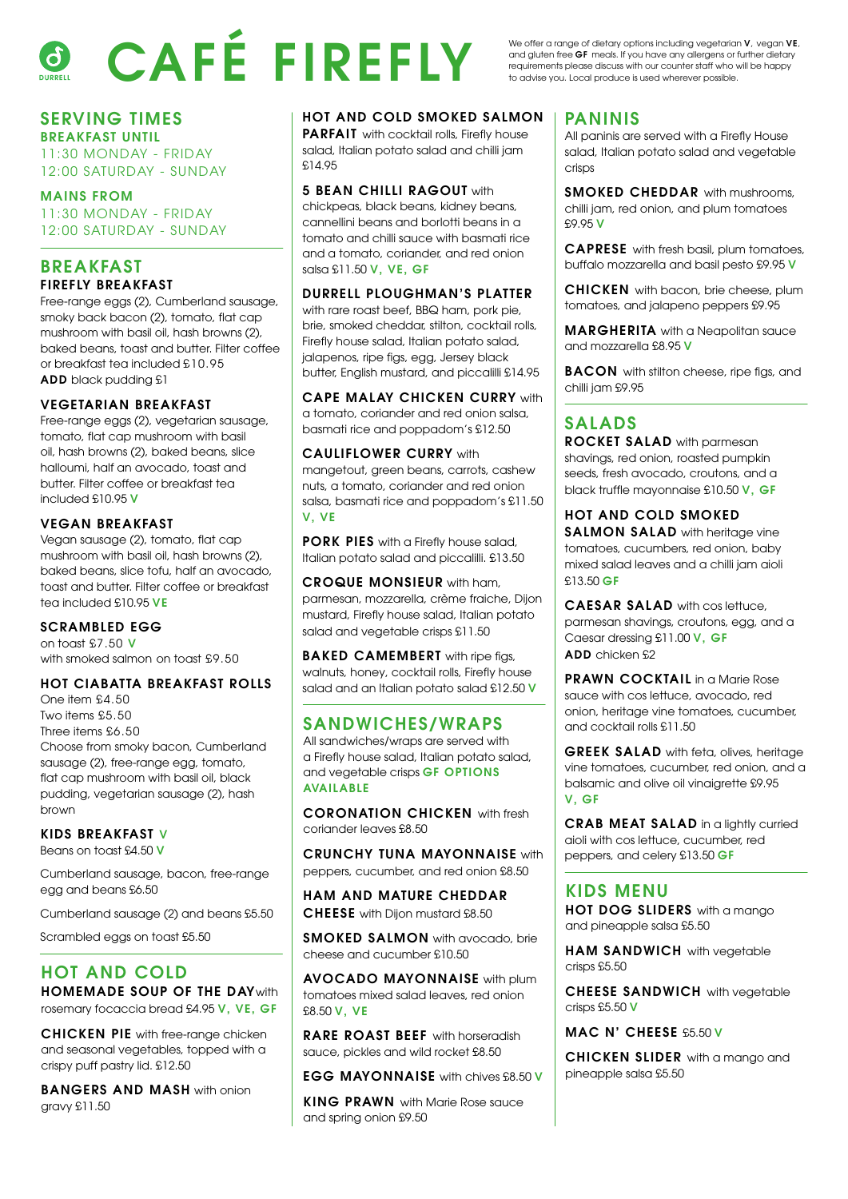# CAFÉ FIREFLY  $\mathcal{L}$

We offer a range of dietary options including vegetarian V, vegan VE, and gluten free GF meals. If you have any allergens or further dietary requirements please discuss with our counter staff who will be happy to advise you. Local produce is used wherever possible.

# SERVING TIMES

BREAKFAST UNTIL 11:30 MONDAY - FRIDAY 12:00 SATURDAY - SUNDAY

MAINS FROM 11:30 MONDAY - FRIDAY 12:00 SATURDAY - SUNDAY

#### BREAKFAST FIREFLY BREAKFAST

Free-range eggs (2), Cumberland sausage, smoky back bacon (2), tomato, flat cap mushroom with basil oil, hash browns (2), baked beans, toast and butter. Filter coffee or breakfast tea included £10.95 ADD black pudding £1

#### VEGETARIAN BREAKFAST

Free-range eggs (2), vegetarian sausage, tomato, flat cap mushroom with basil oil, hash browns (2), baked beans, slice halloumi, half an avocado, toast and butter. Filter coffee or breakfast tea included £10.95 V

#### VEGAN BREAKFAST

Vegan sausage (2), tomato, flat cap mushroom with basil oil, hash browns (2), baked beans, slice tofu, half an avocado, toast and butter. Filter coffee or breakfast tea included £10.95 VE

#### SCRAMBLED EGG

on toast £7.50 V with smoked salmon on toast £9.50

#### HOT CIABATTA BREAKFAST ROLLS

One item £4.50 Two items £5.50 Three items £6.50 Choose from smoky bacon, Cumberland sausage (2), free-range egg, tomato, flat cap mushroom with basil oil, black pudding, vegetarian sausage (2), hash brown

KIDS BREAKFAST V Beans on toast £4.50 V

Cumberland sausage, bacon, free-range

egg and beans £6.50

Cumberland sausage (2) and beans £5.50

Scrambled eggs on toast £5.50

### HOT AND COLD

HOMEMADE SOUP OF THE DAYwith rosemary focaccia bread £4.95 V, VE, GF

CHICKEN PIE with free-range chicken and seasonal vegetables, topped with a crispy puff pastry lid. £12.50

BANGERS AND MASH with onion gravy £11.50

#### HOT AND COLD SMOKED SALMON

PARFAIT with cocktail rolls, Firefly house salad, Italian potato salad and chilli jam £14.95

#### **5 BEAN CHILLI RAGOUT with**

chickpeas, black beans, kidney beans, cannellini beans and borlotti beans in a tomato and chilli sauce with basmati rice and a tomato, coriander, and red onion salsa £11.50 V, VE, GF

#### DURRELL PLOUGHMAN'S PLATTER

with rare roast beef, BBQ ham, pork pie, brie, smoked cheddar, stilton, cocktail rolls, Firefly house salad, Italian potato salad, jalapenos, ripe figs, egg, Jersey black butter, English mustard, and piccalilli £14.95

CAPE MALAY CHICKEN CURRY with a tomato, coriander and red onion salsa, basmati rice and poppadom's £12.50

CAULIFLOWER CURRY with mangetout, green beans, carrots, cashew nuts, a tomato, coriander and red onion salsa, basmati rice and poppadom's £11.50 V, VE

PORK PIES with a Firefly house salad, Italian potato salad and piccalilli. £13.50

CROQUE MONSIEUR with ham, parmesan, mozzarella, crème fraiche, Dijon mustard, Firefly house salad, Italian potato salad and vegetable crisps £11.50

BAKED CAMEMBERT with ripe figs, walnuts, honey, cocktail rolls, Firefly house salad and an Italian potato salad £12.50 V

#### SANDWICHES/WRAPS

All sandwiches/wraps are served with a Firefly house salad, Italian potato salad, and vegetable crisps GF OPTIONS AVAILABLE

CORONATION CHICKEN with fresh coriander leaves £8.50

CRUNCHY TUNA MAYONNAISE with peppers, cucumber, and red onion £8.50

HAM AND MATURE CHEDDAR CHEESE with Dijon mustard £8.50

SMOKED SALMON with avocado, brie cheese and cucumber £10.50

AVOCADO MAYONNAISE with plum tomatoes mixed salad leaves, red onion £8.50 V, VE

RARE ROAST BEEF with horseradish sauce, pickles and wild rocket £8.50

EGG MAYONNAISE with chives £8.50 V

KING PRAWN with Marie Rose sauce and spring onion £9.50

#### PANINIS

All paninis are served with a Firefly House salad, Italian potato salad and vegetable crisps

SMOKED CHEDDAR with mushrooms, chilli jam, red onion, and plum tomatoes £9.95 V

CAPRESE with fresh basil, plum tomatoes, buffalo mozzarella and basil pesto £9.95 V

CHICKEN with bacon, brie cheese, plum tomatoes, and jalapeno peppers £9.95

**MARGHERITA** with a Neapolitan sauce and mozzarella £8.95 V

**BACON** with stilton cheese, ripe figs, and chilli jam £9.95

### SALADS

ROCKET SALAD with parmesan shavings, red onion, roasted pumpkin seeds, fresh avocado, croutons, and a black truffle mayonnaise £10.50 V, GF

HOT AND COLD SMOKED SALMON SALAD with heritage vine tomatoes, cucumbers, red onion, baby mixed salad leaves and a chilli jam aioli £13.50 GF

CAESAR SALAD with cos lettuce, parmesan shavings, croutons, egg, and a Caesar dressing £11.00 V, GF ADD chicken £2

PRAWN COCKTAIL in a Marie Rose sauce with cos lettuce, avocado, red onion, heritage vine tomatoes, cucumber, and cocktail rolls £11.50

GREEK SALAD with feta, olives, heritage vine tomatoes, cucumber, red onion, and a balsamic and olive oil vinaigrette £9.95 V, GF

CRAB MEAT SALAD in a lightly curried aioli with cos lettuce, cucumber, red peppers, and celery £13.50 GF

#### KIDS MENU

HOT DOG SLIDERS with a mango and pineapple salsa £5.50

HAM SANDWICH with vegetable crisps £5.50

CHEESE SANDWICH with vegetable crisps £5.50 V

MAC N' CHEESE £5.50 V

CHICKEN SLIDER with a mango and pineapple salsa £5.50